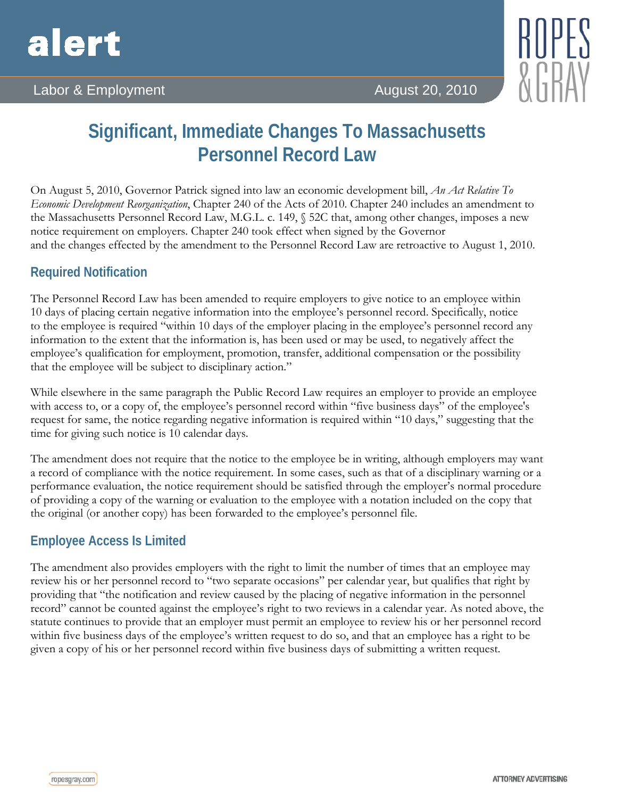

## Labor & Employment **August 20, 2010**

# **Significant, Immediate Changes To Massachusetts Personnel Record Law**

On August 5, 2010, Governor Patrick signed into law an economic development bill, *An Act Relative To Economic Development Reorganization*, Chapter 240 of the Acts of 2010. Chapter 240 includes an amendment to the Massachusetts Personnel Record Law, M.G.L. c. 149, § 52C that, among other changes, imposes a new notice requirement on employers. Chapter 240 took effect when signed by the Governor and the changes effected by the amendment to the Personnel Record Law are retroactive to August 1, 2010.

#### **Required Notification**

The Personnel Record Law has been amended to require employers to give notice to an employee within 10 days of placing certain negative information into the employee's personnel record. Specifically, notice to the employee is required "within 10 days of the employer placing in the employee's personnel record any information to the extent that the information is, has been used or may be used, to negatively affect the employee's qualification for employment, promotion, transfer, additional compensation or the possibility that the employee will be subject to disciplinary action."

While elsewhere in the same paragraph the Public Record Law requires an employer to provide an employee with access to, or a copy of, the employee's personnel record within "five business days" of the employee's request for same, the notice regarding negative information is required within "10 days," suggesting that the time for giving such notice is 10 calendar days.

The amendment does not require that the notice to the employee be in writing, although employers may want a record of compliance with the notice requirement. In some cases, such as that of a disciplinary warning or a performance evaluation, the notice requirement should be satisfied through the employer's normal procedure of providing a copy of the warning or evaluation to the employee with a notation included on the copy that the original (or another copy) has been forwarded to the employee's personnel file.

### **Employee Access Is Limited**

The amendment also provides employers with the right to limit the number of times that an employee may review his or her personnel record to "two separate occasions" per calendar year, but qualifies that right by providing that "the notification and review caused by the placing of negative information in the personnel record" cannot be counted against the employee's right to two reviews in a calendar year. As noted above, the statute continues to provide that an employer must permit an employee to review his or her personnel record within five business days of the employee's written request to do so, and that an employee has a right to be given a copy of his or her personnel record within five business days of submitting a written request.